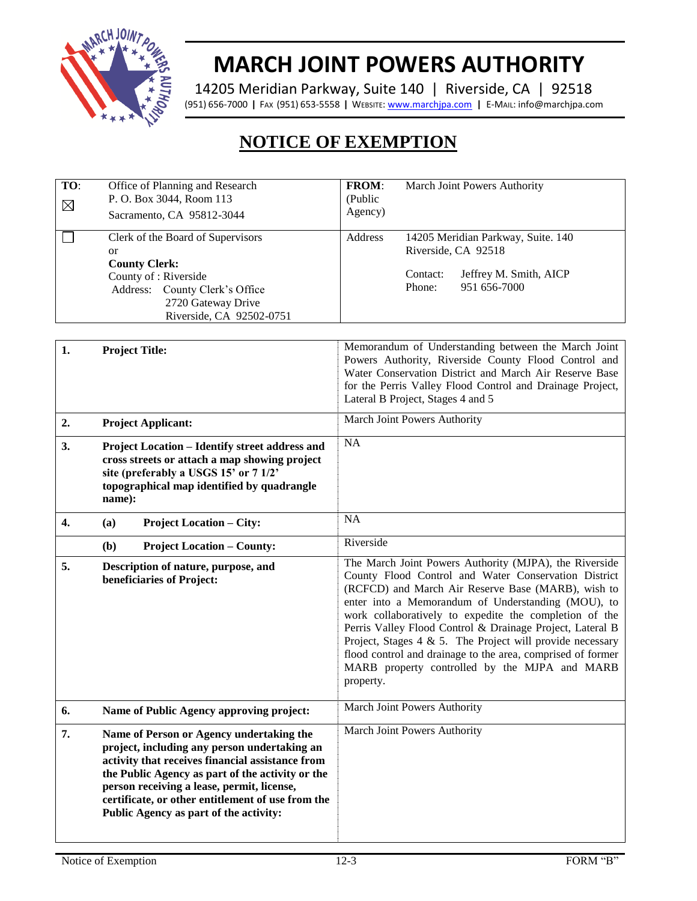

## **MARCH JOINT POWERS AUTHORITY**

14205 Meridian Parkway, Suite 140 | Riverside, CA | 92518 (951) 656-7000 **|** FAX (951) 653-5558 **|** WEBSITE[: www.marchjpa.com](http://www.marchjpa.com/) **|** E-MAIL: info@marchjpa.com

## **NOTICE OF EXEMPTION**

| TO:<br>$\boxtimes$ | Office of Planning and Research<br>P. O. Box 3044, Room 113<br>Sacramento, CA 95812-3044                                                                                                                                                                                                                                                      | FROM:<br>March Joint Powers Authority<br>(Public<br>Agency)                                                                                                                                                                                                                                                                                                                                                                                                                                                                                     |
|--------------------|-----------------------------------------------------------------------------------------------------------------------------------------------------------------------------------------------------------------------------------------------------------------------------------------------------------------------------------------------|-------------------------------------------------------------------------------------------------------------------------------------------------------------------------------------------------------------------------------------------------------------------------------------------------------------------------------------------------------------------------------------------------------------------------------------------------------------------------------------------------------------------------------------------------|
|                    | Clerk of the Board of Supervisors<br><sub>or</sub><br><b>County Clerk:</b><br>County of : Riverside<br>Address: County Clerk's Office<br>2720 Gateway Drive<br>Riverside, CA 92502-0751                                                                                                                                                       | Address<br>14205 Meridian Parkway, Suite. 140<br>Riverside, CA 92518<br>Jeffrey M. Smith, AICP<br>Contact:<br>Phone:<br>951 656-7000                                                                                                                                                                                                                                                                                                                                                                                                            |
| 1.                 | <b>Project Title:</b>                                                                                                                                                                                                                                                                                                                         | Memorandum of Understanding between the March Joint<br>Powers Authority, Riverside County Flood Control and<br>Water Conservation District and March Air Reserve Base<br>for the Perris Valley Flood Control and Drainage Project,<br>Lateral B Project, Stages 4 and 5                                                                                                                                                                                                                                                                         |
| 2.                 | <b>Project Applicant:</b>                                                                                                                                                                                                                                                                                                                     | March Joint Powers Authority                                                                                                                                                                                                                                                                                                                                                                                                                                                                                                                    |
| 3.                 | <b>Project Location - Identify street address and</b><br>cross streets or attach a map showing project<br>site (preferably a USGS 15' or 7 1/2'<br>topographical map identified by quadrangle<br>name):                                                                                                                                       | NA                                                                                                                                                                                                                                                                                                                                                                                                                                                                                                                                              |
| 4.                 | <b>Project Location – City:</b><br>(a)                                                                                                                                                                                                                                                                                                        | NA                                                                                                                                                                                                                                                                                                                                                                                                                                                                                                                                              |
|                    | <b>Project Location – County:</b><br>(b)                                                                                                                                                                                                                                                                                                      | Riverside                                                                                                                                                                                                                                                                                                                                                                                                                                                                                                                                       |
| 5.                 | Description of nature, purpose, and<br>beneficiaries of Project:                                                                                                                                                                                                                                                                              | The March Joint Powers Authority (MJPA), the Riverside<br>County Flood Control and Water Conservation District<br>(RCFCD) and March Air Reserve Base (MARB), wish to<br>enter into a Memorandum of Understanding (MOU), to<br>work collaboratively to expedite the completion of the<br>Perris Valley Flood Control & Drainage Project, Lateral B<br>Project, Stages $4 \& 5$ . The Project will provide necessary<br>flood control and drainage to the area, comprised of former<br>MARB property controlled by the MJPA and MARB<br>property. |
| 6.                 | Name of Public Agency approving project:                                                                                                                                                                                                                                                                                                      | March Joint Powers Authority                                                                                                                                                                                                                                                                                                                                                                                                                                                                                                                    |
| 7.                 | Name of Person or Agency undertaking the<br>project, including any person undertaking an<br>activity that receives financial assistance from<br>the Public Agency as part of the activity or the<br>person receiving a lease, permit, license,<br>certificate, or other entitlement of use from the<br>Public Agency as part of the activity: | March Joint Powers Authority                                                                                                                                                                                                                                                                                                                                                                                                                                                                                                                    |